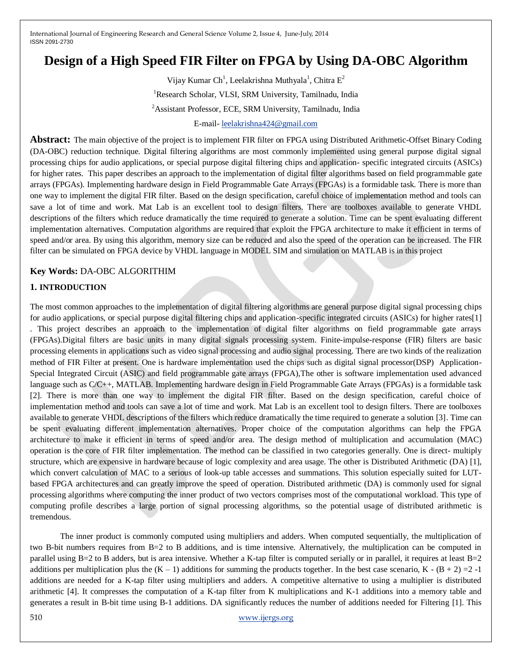# **Design of a High Speed FIR Filter on FPGA by Using DA-OBC Algorithm**

Vijay Kumar Ch<sup>1</sup>, Leelakrishna Muthyala<sup>1</sup>, Chitra E<sup>2</sup> <sup>1</sup>Research Scholar, VLSI, SRM University, Tamilnadu, India <sup>2</sup>Assistant Professor, ECE, SRM University, Tamilnadu, India

E-mail- [leelakrishna424@gmail.com](mailto:leelakrishna424@gmail.com)

**Abstract:** The main objective of the project is to implement FIR filter on FPGA using Distributed Arithmetic-Offset Binary Coding (DA-OBC) reduction technique. Digital filtering algorithms are most commonly implemented using general purpose digital signal processing chips for audio applications, or special purpose digital filtering chips and application- specific integrated circuits (ASICs) for higher rates. This paper describes an approach to the implementation of digital filter algorithms based on field programmable gate arrays (FPGAs). Implementing hardware design in Field Programmable Gate Arrays (FPGAs) is a formidable task. There is more than one way to implement the digital FIR filter. Based on the design specification, careful choice of implementation method and tools can save a lot of time and work. Mat Lab is an excellent tool to design filters. There are toolboxes available to generate VHDL descriptions of the filters which reduce dramatically the time required to generate a solution. Time can be spent evaluating different implementation alternatives. Computation algorithms are required that exploit the FPGA architecture to make it efficient in terms of speed and/or area. By using this algorithm, memory size can be reduced and also the speed of the operation can be increased. The FIR filter can be simulated on FPGA device by VHDL language in MODEL SIM and simulation on MATLAB is in this project

## **Key Words:** DA-OBC ALGORITHIM

## **1. INTRODUCTION**

The most common approaches to the implementation of digital filtering algorithms are general purpose digital signal processing chips for audio applications, or special purpose digital filtering chips and application-specific integrated circuits (ASICs) for higher rates[1]

. This project describes an approach to the implementation of digital filter algorithms on field programmable gate arrays (FPGAs).Digital filters are basic units in many digital signals processing system. Finite-impulse-response (FIR) filters are basic processing elements in applications such as video signal processing and audio signal processing. There are two kinds of the realization method of FIR Filter at present. One is hardware implementation used the chips such as digital signal processor(DSP) Application-Special Integrated Circuit (ASIC) and field programmable gate arrays (FPGA),The other is software implementation used advanced language such as C/C++, MATLAB. Implementing hardware design in Field Programmable Gate Arrays (FPGAs) is a formidable task [2]. There is more than one way to implement the digital FIR filter. Based on the design specification, careful choice of implementation method and tools can save a lot of time and work. Mat Lab is an excellent tool to design filters. There are toolboxes available to generate VHDL descriptions of the filters which reduce dramatically the time required to generate a solution [3]. Time can be spent evaluating different implementation alternatives. Proper choice of the computation algorithms can help the FPGA architecture to make it efficient in terms of speed and/or area. The design method of multiplication and accumulation (MAC) operation is the core of FIR filter implementation. The method can be classified in two categories generally. One is direct- multiply structure, which are expensive in hardware because of logic complexity and area usage. The other is Distributed Arithmetic (DA) [1], which convert calculation of MAC to a serious of look-up table accesses and summations. This solution especially suited for LUTbased FPGA architectures and can greatly improve the speed of operation. Distributed arithmetic (DA) is commonly used for signal processing algorithms where computing the inner product of two vectors comprises most of the computational workload. This type of computing profile describes a large portion of signal processing algorithms, so the potential usage of distributed arithmetic is tremendous.

The inner product is commonly computed using multipliers and adders. When computed sequentially, the multiplication of two B-bit numbers requires from B=2 to B additions, and is time intensive. Alternatively, the multiplication can be computed in parallel using B=2 to B adders, but is area intensive. Whether a K-tap filter is computed serially or in parallel, it requires at least B=2 additions per multiplication plus the  $(K - 1)$  additions for summing the products together. In the best case scenario,  $K - (B + 2) = 2 - 1$ additions are needed for a K-tap filter using multipliers and adders. A competitive alternative to using a multiplier is distributed arithmetic [4]. It compresses the computation of a K-tap filter from K multiplications and K-1 additions into a memory table and generates a result in B-bit time using B-1 additions. DA significantly reduces the number of additions needed for Filtering [1]. This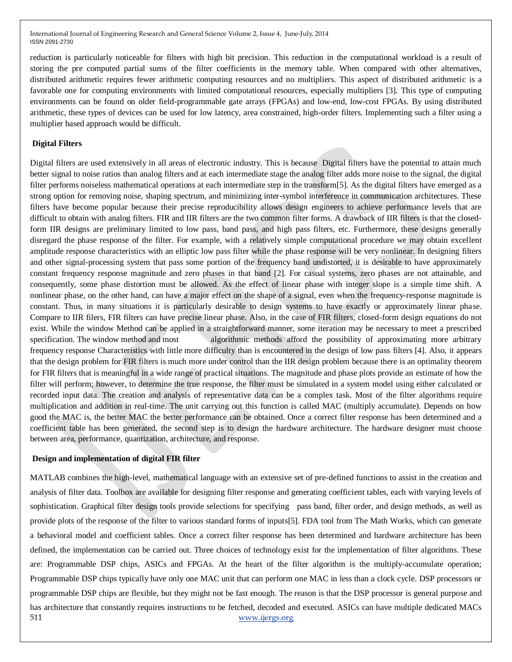reduction is particularly noticeable for filters with high bit precision. This reduction in the computational workload is a result of storing the pre computed partial sums of the filter coefficients in the memory table. When compared with other alternatives, distributed arithmetic requires fewer arithmetic computing resources and no multipliers. This aspect of distributed arithmetic is a favorable one for computing environments with limited computational resources, especially multipliers [3]. This type of computing environments can be found on older field-programmable gate arrays (FPGAs) and low-end, low-cost FPGAs. By using distributed arithmetic, these types of devices can be used for low latency, area constrained, high-order filters. Implementing such a filter using a multiplier based approach would be difficult.

## **Digital Filters**

Digital filters are used extensively in all areas of electronic industry. This is because Digital filters have the potential to attain much better signal to noise ratios than analog filters and at each intermediate stage the analog filter adds more noise to the signal, the digital filter performs noiseless mathematical operations at each intermediate step in the transform[5]. As the digital filters have emerged as a strong option for removing noise, shaping spectrum, and minimizing inter-symbol interference in communication architectures. These filters have become popular because their precise reproducibility allows design engineers to achieve performance levels that are difficult to obtain with analog filters. FIR and IIR filters are the two common filter forms. A drawback of IIR filters is that the closedform IIR designs are preliminary limited to low pass, band pass, and high pass filters, etc. Furthermore, these designs generally disregard the phase response of the filter. For example, with a relatively simple computational procedure we may obtain excellent amplitude response characteristics with an elliptic low pass filter while the phase response will be very nonlinear. In designing filters and other signal-processing system that pass some portion of the frequency band undistorted, it is desirable to have approximately constant frequency response magnitude and zero phases in that band [2]. For casual systems, zero phases are not attainable, and consequently, some phase distortion must be allowed. As the effect of linear phase with integer slope is a simple time shift. A nonlinear phase, on the other hand, can have a major effect on the shape of a signal, even when the frequency-response magnitude is constant. Thus, in many situations it is particularly desirable to design systems to have exactly or approximately linear phase. Compare to IIR filers, FIR filters can have precise linear phase. Also, in the case of FIR filters, closed-form design equations do not exist. While the window Method can be applied in a straightforward manner, some iteration may be necessary to meet a prescribed specification. The window method and most algorithmic methods afford the possibility of approximating more arbitrary frequency response Characteristics with little more difficulty than is encountered in the design of low pass filters [4]. Also, it appears that the design problem for FIR filters is much more under control than the IIR design problem because there is an optimality theorem for FIR filters that is meaningful in a wide range of practical situations. The magnitude and phase plots provide an estimate of how the filter will perform; however, to determine the true response, the filter must be simulated in a system model using either calculated or recorded input data. The creation and analysis of representative data can be a complex task. Most of the filter algorithms require multiplication and addition in real-time. The unit carrying out this function is called MAC (multiply accumulate). Depends on how good the MAC is, the better MAC the better performance can be obtained. Once a correct filter response has been determined and a coefficient table has been generated, the second step is to design the hardware architecture. The hardware designer must choose between area, performance, quantization, architecture, and response.

#### **Design and implementation of digital FIR filter**

511 [www.ijergs.org](http://www.ijergs.org/) MATLAB combines the high-level, mathematical language with an extensive set of pre-defined functions to assist in the creation and analysis of filter data. Toolbox are available for designing filter response and generating coefficient tables, each with varying levels of sophistication. Graphical filter design tools provide selections for specifying pass band, filter order, and design methods, as well as provide plots of the response of the filter to various standard forms of inputs[5]. FDA tool from The Math Works, which can generate a behavioral model and coefficient tables. Once a correct filter response has been determined and hardware architecture has been defined, the implementation can be carried out. Three choices of technology exist for the implementation of filter algorithms. These are: Programmable DSP chips, ASICs and FPGAs. At the heart of the filter algorithm is the multiply-accumulate operation; Programmable DSP chips typically have only one MAC unit that can perform one MAC in less than a clock cycle. DSP processors or programmable DSP chips are flexible, but they might not be fast enough. The reason is that the DSP processor is general purpose and has architecture that constantly requires instructions to be fetched, decoded and executed. ASICs can have multiple dedicated MACs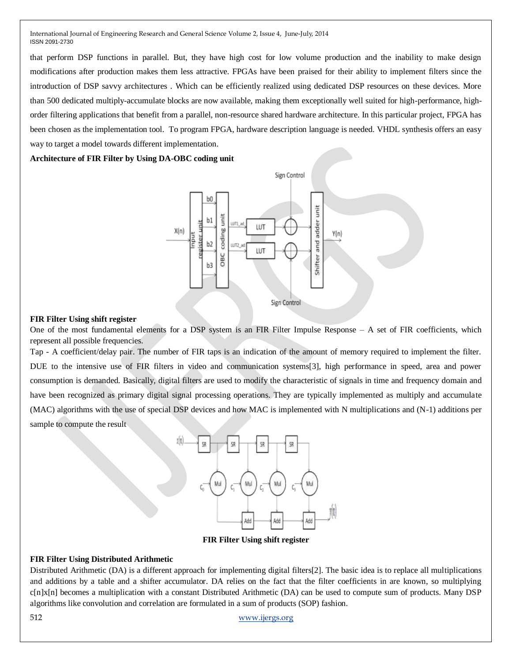that perform DSP functions in parallel. But, they have high cost for low volume production and the inability to make design modifications after production makes them less attractive. FPGAs have been praised for their ability to implement filters since the introduction of DSP savvy architectures . Which can be efficiently realized using dedicated DSP resources on these devices. More than 500 dedicated multiply-accumulate blocks are now available, making them exceptionally well suited for high-performance, highorder filtering applications that benefit from a parallel, non-resource shared hardware architecture. In this particular project, FPGA has been chosen as the implementation tool. To program FPGA, hardware description language is needed. VHDL synthesis offers an easy way to target a model towards different implementation.

## **Architecture of FIR Filter by Using DA-OBC coding unit**



## **FIR Filter Using shift register**

One of the most fundamental elements for a DSP system is an FIR Filter Impulse Response – A set of FIR coefficients, which represent all possible frequencies.

Tap - A coefficient/delay pair. The number of FIR taps is an indication of the amount of memory required to implement the filter. DUE to the intensive use of FIR filters in video and communication systems[3], high performance in speed, area and power consumption is demanded. Basically, digital filters are used to modify the characteristic of signals in time and frequency domain and have been recognized as primary digital signal processing operations. They are typically implemented as multiply and accumulate (MAC) algorithms with the use of special DSP devices and how MAC is implemented with N multiplications and (N-1) additions per sample to compute the result



**FIR Filter Using shift register**

## **FIR Filter Using Distributed Arithmetic**

Distributed Arithmetic (DA) is a different approach for implementing digital filters[2]. The basic idea is to replace all multiplications and additions by a table and a shifter accumulator. DA relies on the fact that the filter coefficients in are known, so multiplying  $c[n]x[n]$  becomes a multiplication with a constant Distributed Arithmetic (DA) can be used to compute sum of products. Many DSP algorithms like convolution and correlation are formulated in a sum of products (SOP) fashion.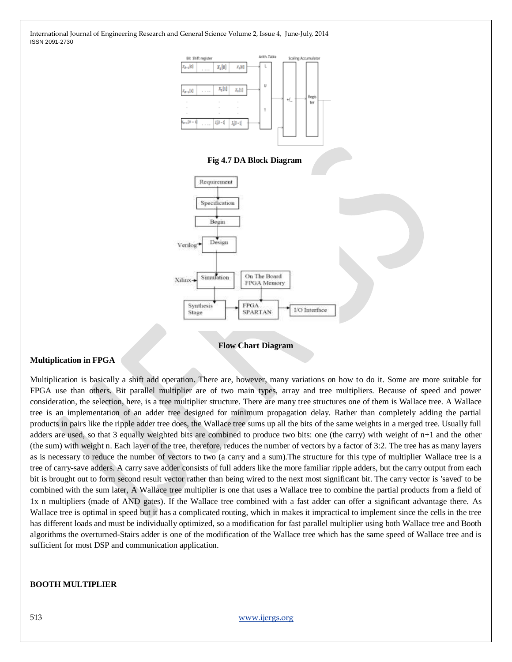

**Flow Chart Diagram**

#### **Multiplication in FPGA**

Multiplication is basically a shift add operation. There are, however, many variations on how to do it. Some are more suitable for FPGA use than others. Bit parallel multiplier are of two main types, array and tree multipliers. Because of speed and power consideration, the selection, here, is a tree multiplier structure. There are many tree structures one of them is Wallace tree. A Wallace tree is an implementation of an adder tree designed for minimum propagation delay. Rather than completely adding the partial products in pairs like the ripple adder tree does, the Wallace tree sums up all the bits of the same weights in a merged tree. Usually full adders are used, so that 3 equally weighted bits are combined to produce two bits: one (the carry) with weight of n+1 and the other (the sum) with weight n. Each layer of the tree, therefore, reduces the number of vectors by a factor of 3:2. The tree has as many layers as is necessary to reduce the number of vectors to two (a carry and a sum).The structure for this type of multiplier Wallace tree is a tree of carry-save adders. A carry save adder consists of full adders like the more familiar ripple adders, but the carry output from each bit is brought out to form second result vector rather than being wired to the next most significant bit. The carry vector is 'saved' to be combined with the sum later, A Wallace tree multiplier is one that uses a Wallace tree to combine the partial products from a field of 1x n multipliers (made of AND gates). If the Wallace tree combined with a fast adder can offer a significant advantage there. As Wallace tree is optimal in speed but it has a complicated routing, which in makes it impractical to implement since the cells in the tree has different loads and must be individually optimized, so a modification for fast parallel multiplier using both Wallace tree and Booth algorithms the overturned-Stairs adder is one of the modification of the Wallace tree which has the same speed of Wallace tree and is sufficient for most DSP and communication application.

#### **BOOTH MULTIPLIER**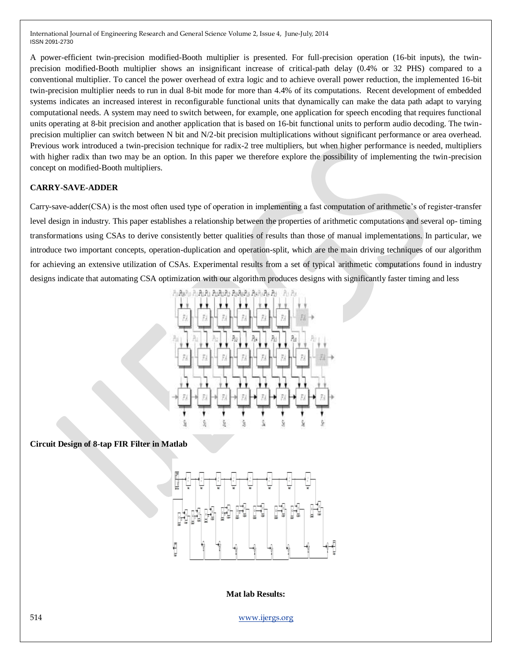A power-efficient twin-precision modified-Booth multiplier is presented. For full-precision operation (16-bit inputs), the twinprecision modified-Booth multiplier shows an insignificant increase of critical-path delay (0.4% or 32 PHS) compared to a conventional multiplier. To cancel the power overhead of extra logic and to achieve overall power reduction, the implemented 16-bit twin-precision multiplier needs to run in dual 8-bit mode for more than 4.4% of its computations. Recent development of embedded systems indicates an increased interest in reconfigurable functional units that dynamically can make the data path adapt to varying computational needs. A system may need to switch between, for example, one application for speech encoding that requires functional units operating at 8-bit precision and another application that is based on 16-bit functional units to perform audio decoding. The twinprecision multiplier can switch between N bit and N/2-bit precision multiplications without significant performance or area overhead. Previous work introduced a twin-precision technique for radix-2 tree multipliers, but when higher performance is needed, multipliers with higher radix than two may be an option. In this paper we therefore explore the possibility of implementing the twin-precision concept on modified-Booth multipliers.

## **CARRY-SAVE-ADDER**

Carry-save-adder(CSA) is the most often used type of operation in implementing a fast computation of arithmetic's of register-transfer level design in industry. This paper establishes a relationship between the properties of arithmetic computations and several op- timing transformations using CSAs to derive consistently better qualities of results than those of manual implementations. In particular, we introduce two important concepts, operation-duplication and operation-split, which are the main driving techniques of our algorithm for achieving an extensive utilization of CSAs. Experimental results from a set of typical arithmetic computations found in industry designs indicate that automating CSA optimization with our algorithm produces designs with significantly faster timing and less



**Circuit Design of 8-tap FIR Filter in Matlab**



**Mat lab Results:**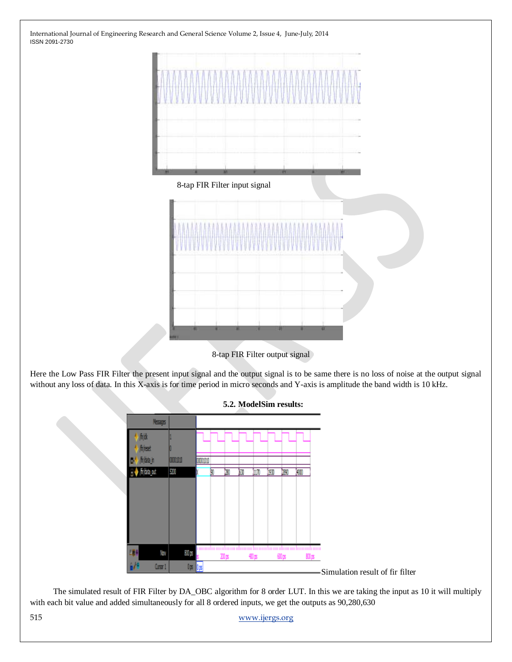

8-tap FIR Filter input signal



8-tap FIR Filter output signal

Here the Low Pass FIR Filter the present input signal and the output signal is to be same there is no loss of noise at the output signal without any loss of data. In this X-axis is for time period in micro seconds and Y-axis is amplitude the band width is 10 kHz.



**5.2. ModelSim results:**

 The simulated result of FIR Filter by DA\_OBC algorithm for 8 order LUT. In this we are taking the input as 10 it will multiply with each bit value and added simultaneously for all 8 ordered inputs, we get the outputs as 90,280,630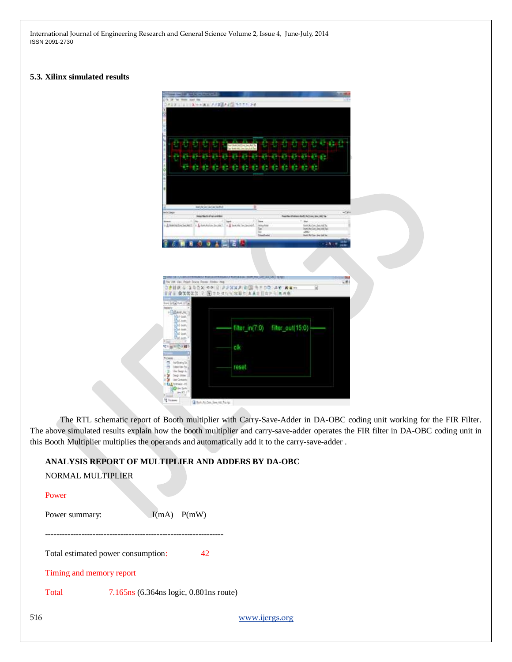### **5.3. Xilinx simulated results**

| 34 Vai Romr Staff                           |                                                                               |                                                 |                     |                                                         |                |
|---------------------------------------------|-------------------------------------------------------------------------------|-------------------------------------------------|---------------------|---------------------------------------------------------|----------------|
|                                             | AUD X ** A = 273 35 + 275 + 27 + 20                                           |                                                 |                     |                                                         |                |
|                                             |                                                                               |                                                 |                     |                                                         |                |
|                                             |                                                                               |                                                 |                     |                                                         |                |
|                                             |                                                                               |                                                 |                     |                                                         |                |
|                                             |                                                                               |                                                 |                     |                                                         |                |
|                                             |                                                                               |                                                 |                     |                                                         |                |
|                                             |                                                                               |                                                 |                     |                                                         |                |
|                                             |                                                                               |                                                 |                     |                                                         |                |
|                                             |                                                                               |                                                 |                     |                                                         | D              |
|                                             |                                                                               |                                                 |                     |                                                         |                |
|                                             |                                                                               |                                                 |                     |                                                         |                |
|                                             |                                                                               |                                                 |                     |                                                         |                |
|                                             |                                                                               |                                                 |                     |                                                         |                |
|                                             |                                                                               |                                                 |                     |                                                         |                |
|                                             |                                                                               |                                                 |                     |                                                         |                |
|                                             |                                                                               |                                                 |                     |                                                         |                |
|                                             | <b>BANGKAHAGARS</b>                                                           | 里                                               |                     |                                                         | $-0.81$        |
|                                             | <b>Delta Stech of Automobiles</b>                                             |                                                 |                     | President of Entrance Roads, Paul Lines, Lines, ARE The |                |
|                                             | - E has satisfied and I - A has sales located  In A fact the fact to the sale | <b>Jeres Ave</b>                                |                     | ij.<br><b>SANJALON/JAAJALTE</b>                         |                |
|                                             |                                                                               | Tue.<br>s                                       |                     | <b>RAYLINGTAL ANALYSIS</b><br>all for                   |                |
|                                             |                                                                               |                                                 | <b>Dividinize</b>   | <b>Built Air Car Link Ink Text</b>                      |                |
|                                             |                                                                               |                                                 |                     |                                                         | <b>CANOTIC</b> |
|                                             | The Edit View Project Source Process Alleston Hule                            | ○ ● 日夜 右   200 × 00 2 22 X X 2 2 四 キニコウ 2 ¥ あま… | <b>UNLINE ARMIT</b> | ⊞                                                       | 581            |
|                                             |                                                                               | ■富田 春気気改写 マ 国 セシ イルキヨロセ まあり目白アモ あき巻             |                     |                                                         |                |
| PERMIT NATION                               |                                                                               |                                                 |                     |                                                         |                |
|                                             |                                                                               |                                                 |                     |                                                         |                |
| 2 情報中小()                                    |                                                                               |                                                 |                     |                                                         |                |
| ¥=                                          |                                                                               |                                                 |                     |                                                         |                |
| Unit field<br>Gol last:                     |                                                                               | filter_in(7:0) filter_out(15:0)                 |                     |                                                         |                |
| $54 = 1$                                    |                                                                               |                                                 |                     |                                                         |                |
| <b>TM App</b><br>tia                        |                                                                               |                                                 |                     |                                                         |                |
| ベン million 前の                               |                                                                               | clk                                             |                     |                                                         |                |
|                                             |                                                                               |                                                 |                     |                                                         |                |
| ø<br>Atd Buring Ref.                        |                                                                               |                                                 |                     |                                                         |                |
| Direktor Sola<br>π                          |                                                                               | reset                                           |                     |                                                         |                |
| <b>Vestbeg-12</b><br>D<br>Degriftie  <br>٠y |                                                                               |                                                 |                     |                                                         |                |
| 15<br><b>Ser Dream</b>                      |                                                                               |                                                 |                     |                                                         |                |
| B fances at<br><b>DOM: NY</b>               |                                                                               |                                                 |                     |                                                         |                |
| $+$ [come                                   |                                                                               |                                                 |                     |                                                         |                |
| $\sim 10^{-3}$<br><sup>1</sup> E Fordered   | Ban Aidm Im at fair                                                           |                                                 |                     |                                                         |                |

The RTL schematic report of Booth multiplier with Carry-Save-Adder in DA-OBC coding unit working for the FIR Filter. The above simulated results explain how the booth multiplier and carry-save-adder operates the FIR filter in DA-OBC coding unit in this Booth Multiplier multiplies the operands and automatically add it to the carry-save-adder .

## **ANALYSIS REPORT OF MULTIPLIER AND ADDERS BY DA-OBC**

| Power                              |                                          |  |  |  |  |  |
|------------------------------------|------------------------------------------|--|--|--|--|--|
| Power summary:                     | $I(mA)$ $P(mW)$                          |  |  |  |  |  |
|                                    |                                          |  |  |  |  |  |
| Total estimated power consumption: | 42                                       |  |  |  |  |  |
| Timing and memory report           |                                          |  |  |  |  |  |
| Total                              | $7.165ns$ (6.364ns logic, 0.801ns route) |  |  |  |  |  |
|                                    |                                          |  |  |  |  |  |

NORMAL MULTIPLIER